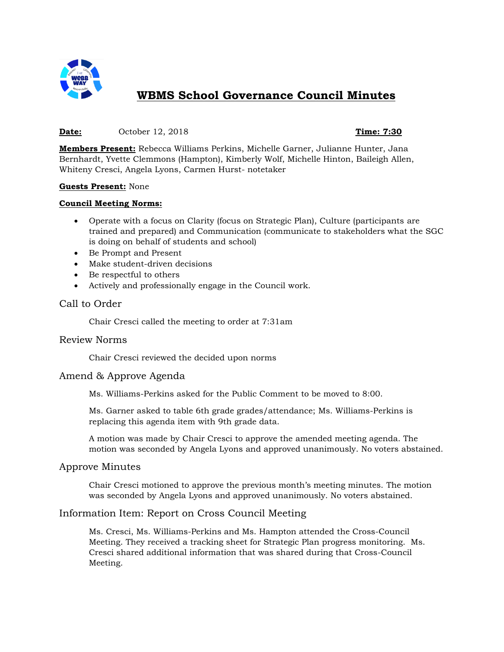

# **WBMS School Governance Council Minutes**

#### **Date:** October 12, 2018 **Time: 7:30**

**Members Present:** Rebecca Williams Perkins, Michelle Garner, Julianne Hunter, Jana Bernhardt, Yvette Clemmons (Hampton), Kimberly Wolf, Michelle Hinton, Baileigh Allen, Whiteny Cresci, Angela Lyons, Carmen Hurst- notetaker

#### **Guests Present:** None

#### **Council Meeting Norms:**

- Operate with a focus on Clarity (focus on Strategic Plan), Culture (participants are trained and prepared) and Communication (communicate to stakeholders what the SGC is doing on behalf of students and school)
- Be Prompt and Present
- Make student-driven decisions
- Be respectful to others
- Actively and professionally engage in the Council work.

# Call to Order

Chair Cresci called the meeting to order at 7:31am

# Review Norms

Chair Cresci reviewed the decided upon norms

# Amend & Approve Agenda

Ms. Williams-Perkins asked for the Public Comment to be moved to 8:00.

Ms. Garner asked to table 6th grade grades/attendance; Ms. Williams-Perkins is replacing this agenda item with 9th grade data.

A motion was made by Chair Cresci to approve the amended meeting agenda. The motion was seconded by Angela Lyons and approved unanimously. No voters abstained.

# Approve Minutes

Chair Cresci motioned to approve the previous month's meeting minutes. The motion was seconded by Angela Lyons and approved unanimously. No voters abstained.

# Information Item: Report on Cross Council Meeting

Ms. Cresci, Ms. Williams-Perkins and Ms. Hampton attended the Cross-Council Meeting. They received a tracking sheet for Strategic Plan progress monitoring. Ms. Cresci shared additional information that was shared during that Cross-Council Meeting.